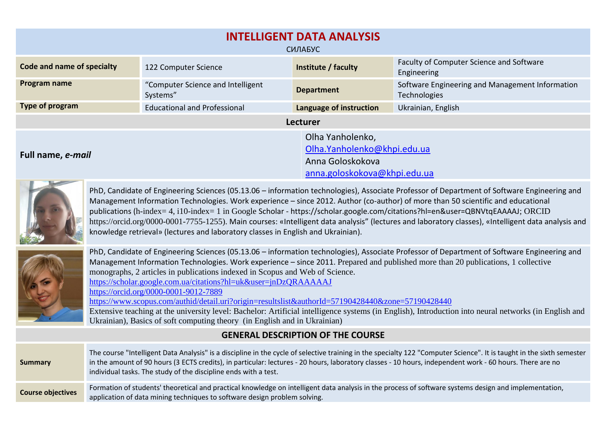| <b>INTELLIGENT DATA ANALYSIS</b><br>СИЛАБУС                                                   |                                               |                                                                                                     |                                                                 |  |  |  |
|-----------------------------------------------------------------------------------------------|-----------------------------------------------|-----------------------------------------------------------------------------------------------------|-----------------------------------------------------------------|--|--|--|
| Code and name of specialty                                                                    | 122 Computer Science                          | Institute / faculty                                                                                 | Faculty of Computer Science and Software<br>Engineering         |  |  |  |
| Program name                                                                                  | "Computer Science and Intelligent<br>Systems" | <b>Department</b>                                                                                   | Software Engineering and Management Information<br>Technologies |  |  |  |
| Type of program                                                                               | <b>Educational and Professional</b>           | Language of instruction                                                                             | Ukrainian, English                                              |  |  |  |
|                                                                                               |                                               | <b>Lecturer</b>                                                                                     |                                                                 |  |  |  |
| Full name, e-mail<br>the first company of the company of<br><b>Contract Contract Contract</b> |                                               | Olha Yanholenko,<br>Olha.Yanholenko@khpi.edu.ua<br>Anna Goloskokova<br>anna.goloskokova@khpi.edu.ua |                                                                 |  |  |  |



PhD, Candidate of Engineering Sciences (05.13.06 – information technologies), Associate Professor of Department of Software Engineering and Management Information Technologies. Work experience – since 2012. Author (co-author) of more than 50 scientific and educational publications (h-index= 4, i10-index= 1 in Google Scholar - <https://scholar.google.com/citations?hl=en&user=QBNVtqEAAAAJ>; ORCID [https://orcid.org/0000-0001-7755-1255\)](https://orcid.org/0000-0001-7755-1255). Main courses: «Intelligent data analysis" (lectures and laboratory classes), «Intelligent data analysis and knowledge retrieval» (lectures and laboratory classes in English and Ukrainian).



|                          | <b>GENERAL DESCRIPTION OF THE COURSE</b>                                                                                                                                                                                                                                                                                                                                                             |
|--------------------------|------------------------------------------------------------------------------------------------------------------------------------------------------------------------------------------------------------------------------------------------------------------------------------------------------------------------------------------------------------------------------------------------------|
| <b>Summary</b>           | The course "Intelligent Data Analysis" is a discipline in the cycle of selective training in the specialty 122 "Computer Science". It is taught in the sixth semester<br>in the amount of 90 hours (3 ECTS credits), in particular: lectures - 20 hours, laboratory classes - 10 hours, independent work - 60 hours. There are no<br>individual tasks. The study of the discipline ends with a test. |
| <b>Course objectives</b> | Formation of students' theoretical and practical knowledge on intelligent data analysis in the process of software systems design and implementation,<br>application of data mining techniques to software design problem solving.                                                                                                                                                                   |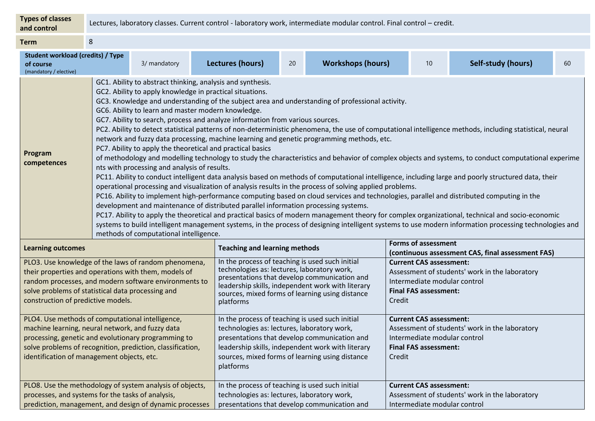| <b>Types of classes</b><br>and control                                                                                                                                                                                                                                                                                                                                                                                                                                                                                                                                                                                                                                                                                                                                                                                                                                                                                                                                                                                                                                                                                                                                                                                                                                                                                                                                                                                                                                                                                                                                                                                                                                                                                                                                                    | Lectures, laboratory classes. Current control - laboratory work, intermediate modular control. Final control - credit. |                         |                                                                                                                                                                                                                                                                     |                                      |  |                                                                                                                                                                                                                 |                            |    |  |
|-------------------------------------------------------------------------------------------------------------------------------------------------------------------------------------------------------------------------------------------------------------------------------------------------------------------------------------------------------------------------------------------------------------------------------------------------------------------------------------------------------------------------------------------------------------------------------------------------------------------------------------------------------------------------------------------------------------------------------------------------------------------------------------------------------------------------------------------------------------------------------------------------------------------------------------------------------------------------------------------------------------------------------------------------------------------------------------------------------------------------------------------------------------------------------------------------------------------------------------------------------------------------------------------------------------------------------------------------------------------------------------------------------------------------------------------------------------------------------------------------------------------------------------------------------------------------------------------------------------------------------------------------------------------------------------------------------------------------------------------------------------------------------------------|------------------------------------------------------------------------------------------------------------------------|-------------------------|---------------------------------------------------------------------------------------------------------------------------------------------------------------------------------------------------------------------------------------------------------------------|--------------------------------------|--|-----------------------------------------------------------------------------------------------------------------------------------------------------------------------------------------------------------------|----------------------------|----|--|
| <b>Term</b>                                                                                                                                                                                                                                                                                                                                                                                                                                                                                                                                                                                                                                                                                                                                                                                                                                                                                                                                                                                                                                                                                                                                                                                                                                                                                                                                                                                                                                                                                                                                                                                                                                                                                                                                                                               | 8                                                                                                                      |                         |                                                                                                                                                                                                                                                                     |                                      |  |                                                                                                                                                                                                                 |                            |    |  |
| <b>Student workload (credits) / Type</b><br>3/ mandatory<br>of course<br>(mandatory / elective)                                                                                                                                                                                                                                                                                                                                                                                                                                                                                                                                                                                                                                                                                                                                                                                                                                                                                                                                                                                                                                                                                                                                                                                                                                                                                                                                                                                                                                                                                                                                                                                                                                                                                           |                                                                                                                        | <b>Lectures (hours)</b> | 20                                                                                                                                                                                                                                                                  | <b>Workshops (hours)</b>             |  | 10                                                                                                                                                                                                              | <b>Self-study (hours)</b>  | 60 |  |
| GC1. Ability to abstract thinking, analysis and synthesis.<br>GC2. Ability to apply knowledge in practical situations.<br>GC3. Knowledge and understanding of the subject area and understanding of professional activity.<br>GC6. Ability to learn and master modern knowledge.<br>GC7. Ability to search, process and analyze information from various sources.<br>PC2. Ability to detect statistical patterns of non-deterministic phenomena, the use of computational intelligence methods, including statistical, neural<br>network and fuzzy data processing, machine learning and genetic programming methods, etc.<br>PC7. Ability to apply the theoretical and practical basics<br>Program<br>of methodology and modelling technology to study the characteristics and behavior of complex objects and systems, to conduct computational experime<br>competences<br>nts with processing and analysis of results.<br>PC11. Ability to conduct intelligent data analysis based on methods of computational intelligence, including large and poorly structured data, their<br>operational processing and visualization of analysis results in the process of solving applied problems.<br>PC16. Ability to implement high-performance computing based on cloud services and technologies, parallel and distributed computing in the<br>development and maintenance of distributed parallel information processing systems.<br>PC17. Ability to apply the theoretical and practical basics of modern management theory for complex organizational, technical and socio-economic<br>systems to build intelligent management systems, in the process of designing intelligent systems to use modern information processing technologies and<br>methods of computational intelligence. |                                                                                                                        |                         |                                                                                                                                                                                                                                                                     |                                      |  |                                                                                                                                                                                                                 |                            |    |  |
| <b>Learning outcomes</b>                                                                                                                                                                                                                                                                                                                                                                                                                                                                                                                                                                                                                                                                                                                                                                                                                                                                                                                                                                                                                                                                                                                                                                                                                                                                                                                                                                                                                                                                                                                                                                                                                                                                                                                                                                  |                                                                                                                        |                         |                                                                                                                                                                                                                                                                     | <b>Teaching and learning methods</b> |  |                                                                                                                                                                                                                 | <b>Forms of assessment</b> |    |  |
| PLO3. Use knowledge of the laws of random phenomena,<br>their properties and operations with them, models of<br>random processes, and modern software environments to<br>solve problems of statistical data processing and<br>construction of predictive models.                                                                                                                                                                                                                                                                                                                                                                                                                                                                                                                                                                                                                                                                                                                                                                                                                                                                                                                                                                                                                                                                                                                                                                                                                                                                                                                                                                                                                                                                                                                          |                                                                                                                        |                         | In the process of teaching is used such initial<br>technologies as: lectures, laboratory work,<br>presentations that develop communication and<br>leadership skills, independent work with literary<br>sources, mixed forms of learning using distance<br>platforms |                                      |  | (continuous assessment CAS, final assessment FAS)<br><b>Current CAS assessment:</b><br>Assessment of students' work in the laboratory<br>Intermediate modular control<br><b>Final FAS assessment:</b><br>Credit |                            |    |  |
| PLO4. Use methods of computational intelligence,<br>In the process of teaching is used such initial<br><b>Current CAS assessment:</b><br>technologies as: lectures, laboratory work,<br>machine learning, neural network, and fuzzy data<br>Assessment of students' work in the laboratory<br>processing, genetic and evolutionary programming to<br>presentations that develop communication and<br>Intermediate modular control<br>solve problems of recognition, prediction, classification,<br>leadership skills, independent work with literary<br><b>Final FAS assessment:</b><br>identification of management objects, etc.<br>sources, mixed forms of learning using distance<br>Credit<br>platforms                                                                                                                                                                                                                                                                                                                                                                                                                                                                                                                                                                                                                                                                                                                                                                                                                                                                                                                                                                                                                                                                              |                                                                                                                        |                         |                                                                                                                                                                                                                                                                     |                                      |  |                                                                                                                                                                                                                 |                            |    |  |
| PLO8. Use the methodology of system analysis of objects,<br>processes, and systems for the tasks of analysis,<br>prediction, management, and design of dynamic processes                                                                                                                                                                                                                                                                                                                                                                                                                                                                                                                                                                                                                                                                                                                                                                                                                                                                                                                                                                                                                                                                                                                                                                                                                                                                                                                                                                                                                                                                                                                                                                                                                  |                                                                                                                        |                         | In the process of teaching is used such initial<br>technologies as: lectures, laboratory work,<br>presentations that develop communication and                                                                                                                      |                                      |  | <b>Current CAS assessment:</b><br>Assessment of students' work in the laboratory<br>Intermediate modular control                                                                                                |                            |    |  |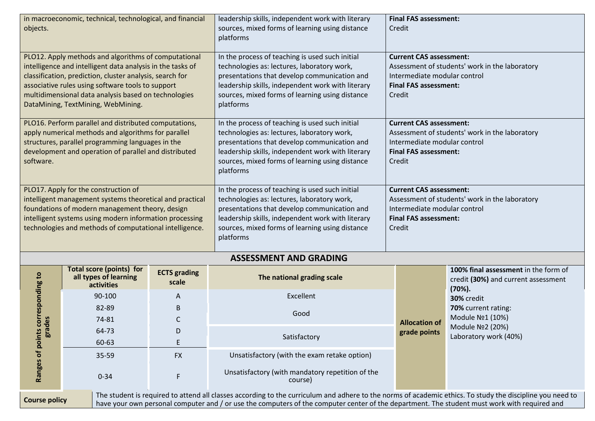| objects.                                                                                                                                                                                                                                                                                                                          | in macroeconomic, technical, technological, and financial                                        |                              | leadership skills, independent work with literary<br>sources, mixed forms of learning using distance<br>platforms                                                                                                                                                   | <b>Final FAS assessment:</b><br>Credit                                                                                                                     |                                                                                                                                                  |  |  |
|-----------------------------------------------------------------------------------------------------------------------------------------------------------------------------------------------------------------------------------------------------------------------------------------------------------------------------------|--------------------------------------------------------------------------------------------------|------------------------------|---------------------------------------------------------------------------------------------------------------------------------------------------------------------------------------------------------------------------------------------------------------------|------------------------------------------------------------------------------------------------------------------------------------------------------------|--------------------------------------------------------------------------------------------------------------------------------------------------|--|--|
| PLO12. Apply methods and algorithms of computational<br>intelligence and intelligent data analysis in the tasks of<br>classification, prediction, cluster analysis, search for<br>associative rules using software tools to support<br>multidimensional data analysis based on technologies<br>DataMining, TextMining, WebMining. |                                                                                                  |                              | In the process of teaching is used such initial<br>technologies as: lectures, laboratory work,<br>presentations that develop communication and<br>leadership skills, independent work with literary<br>sources, mixed forms of learning using distance<br>platforms | <b>Current CAS assessment:</b><br>Assessment of students' work in the laboratory<br>Intermediate modular control<br><b>Final FAS assessment:</b><br>Credit |                                                                                                                                                  |  |  |
| PLO16. Perform parallel and distributed computations,<br>apply numerical methods and algorithms for parallel<br>structures, parallel programming languages in the<br>development and operation of parallel and distributed<br>software.                                                                                           |                                                                                                  |                              | In the process of teaching is used such initial<br>technologies as: lectures, laboratory work,<br>presentations that develop communication and<br>leadership skills, independent work with literary<br>sources, mixed forms of learning using distance<br>platforms | Credit                                                                                                                                                     | <b>Current CAS assessment:</b><br>Assessment of students' work in the laboratory<br>Intermediate modular control<br><b>Final FAS assessment:</b> |  |  |
| PLO17. Apply for the construction of<br>intelligent management systems theoretical and practical<br>foundations of modern management theory, design<br>intelligent systems using modern information processing<br>technologies and methods of computational intelligence.                                                         |                                                                                                  |                              | In the process of teaching is used such initial<br>technologies as: lectures, laboratory work,<br>presentations that develop communication and<br>leadership skills, independent work with literary<br>sources, mixed forms of learning using distance<br>platforms | <b>Current CAS assessment:</b><br>Assessment of students' work in the laboratory<br>Intermediate modular control<br><b>Final FAS assessment:</b><br>Credit |                                                                                                                                                  |  |  |
|                                                                                                                                                                                                                                                                                                                                   |                                                                                                  |                              | <b>ASSESSMENT AND GRADING</b>                                                                                                                                                                                                                                       |                                                                                                                                                            |                                                                                                                                                  |  |  |
| corresponding to                                                                                                                                                                                                                                                                                                                  | <b>Total score (points) for</b><br>all types of learning<br>activities                           | <b>ECTS</b> grading<br>scale | The national grading scale                                                                                                                                                                                                                                          |                                                                                                                                                            | 100% final assessment in the form of<br>credit (30%) and current assessment<br>$(70%)$ .                                                         |  |  |
|                                                                                                                                                                                                                                                                                                                                   | 90-100                                                                                           | A                            | Excellent                                                                                                                                                                                                                                                           |                                                                                                                                                            | 30% credit<br>70% current rating:<br>Module Nº1 (10%)                                                                                            |  |  |
|                                                                                                                                                                                                                                                                                                                                   | 82-89                                                                                            | $\mathsf B$                  | Good                                                                                                                                                                                                                                                                |                                                                                                                                                            |                                                                                                                                                  |  |  |
| des                                                                                                                                                                                                                                                                                                                               | 74-81                                                                                            | $\mathsf C$                  |                                                                                                                                                                                                                                                                     | <b>Allocation of</b>                                                                                                                                       |                                                                                                                                                  |  |  |
| ត្ត                                                                                                                                                                                                                                                                                                                               | 64-73                                                                                            | D                            | Satisfactory                                                                                                                                                                                                                                                        | grade points                                                                                                                                               | Module Nº2 (20%)<br>Laboratory work (40%)                                                                                                        |  |  |
| E<br>60-63                                                                                                                                                                                                                                                                                                                        |                                                                                                  |                              |                                                                                                                                                                                                                                                                     |                                                                                                                                                            |                                                                                                                                                  |  |  |
|                                                                                                                                                                                                                                                                                                                                   | 35-59                                                                                            | <b>FX</b>                    | Unsatisfactory (with the exam retake option)                                                                                                                                                                                                                        |                                                                                                                                                            |                                                                                                                                                  |  |  |
|                                                                                                                                                                                                                                                                                                                                   | Ranges of points<br>Unsatisfactory (with mandatory repetition of the<br>$0 - 34$<br>F<br>course) |                              |                                                                                                                                                                                                                                                                     |                                                                                                                                                            |                                                                                                                                                  |  |  |
| The student is required to attend all classes according to the curriculum and adhere to the norms of academic ethics. To study the discipline you need to<br><b>Course policy</b><br>have your own personal computer and / or use the computers of the computer center of the department. The student must work with required and |                                                                                                  |                              |                                                                                                                                                                                                                                                                     |                                                                                                                                                            |                                                                                                                                                  |  |  |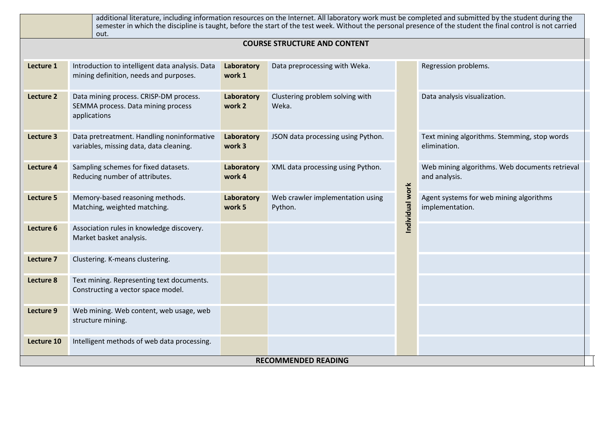| additional literature, including information resources on the Internet. All laboratory work must be completed and submitted by the student during the<br>semester in which the discipline is taught, before the start of the test week. Without the personal presence of the student the final control is not carried<br>out. |                                                                                              |                      |                                             |                 |                                                                 |  |
|-------------------------------------------------------------------------------------------------------------------------------------------------------------------------------------------------------------------------------------------------------------------------------------------------------------------------------|----------------------------------------------------------------------------------------------|----------------------|---------------------------------------------|-----------------|-----------------------------------------------------------------|--|
| <b>COURSE STRUCTURE AND CONTENT</b>                                                                                                                                                                                                                                                                                           |                                                                                              |                      |                                             |                 |                                                                 |  |
| Lecture 1                                                                                                                                                                                                                                                                                                                     | Introduction to intelligent data analysis. Data<br>mining definition, needs and purposes.    | Laboratory<br>work 1 | Data preprocessing with Weka.               |                 | Regression problems.                                            |  |
| Lecture 2                                                                                                                                                                                                                                                                                                                     | Data mining process. CRISP-DM process.<br>SEMMA process. Data mining process<br>applications | Laboratory<br>work 2 | Clustering problem solving with<br>Weka.    |                 | Data analysis visualization.                                    |  |
| Lecture 3                                                                                                                                                                                                                                                                                                                     | Data pretreatment. Handling noninformative<br>variables, missing data, data cleaning.        |                      | JSON data processing using Python.          |                 | Text mining algorithms. Stemming, stop words<br>elimination.    |  |
| Lecture 4                                                                                                                                                                                                                                                                                                                     | Sampling schemes for fixed datasets.<br>Reducing number of attributes.                       | Laboratory<br>work 4 | XML data processing using Python.           |                 | Web mining algorithms. Web documents retrieval<br>and analysis. |  |
| Lecture 5                                                                                                                                                                                                                                                                                                                     | Memory-based reasoning methods.<br>Matching, weighted matching.                              | Laboratory<br>work 5 | Web crawler implementation using<br>Python. | Individual work | Agent systems for web mining algorithms<br>implementation.      |  |
| Lecture 6                                                                                                                                                                                                                                                                                                                     | Association rules in knowledge discovery.<br>Market basket analysis.                         |                      |                                             |                 |                                                                 |  |
| Lecture 7                                                                                                                                                                                                                                                                                                                     | Clustering. K-means clustering.                                                              |                      |                                             |                 |                                                                 |  |
| Lecture 8                                                                                                                                                                                                                                                                                                                     | Text mining. Representing text documents.<br>Constructing a vector space model.              |                      |                                             |                 |                                                                 |  |
| Lecture 9                                                                                                                                                                                                                                                                                                                     | Web mining. Web content, web usage, web<br>structure mining.                                 |                      |                                             |                 |                                                                 |  |
| Lecture 10                                                                                                                                                                                                                                                                                                                    | Intelligent methods of web data processing.                                                  |                      |                                             |                 |                                                                 |  |
| <b>RECOMMENDED READING</b>                                                                                                                                                                                                                                                                                                    |                                                                                              |                      |                                             |                 |                                                                 |  |